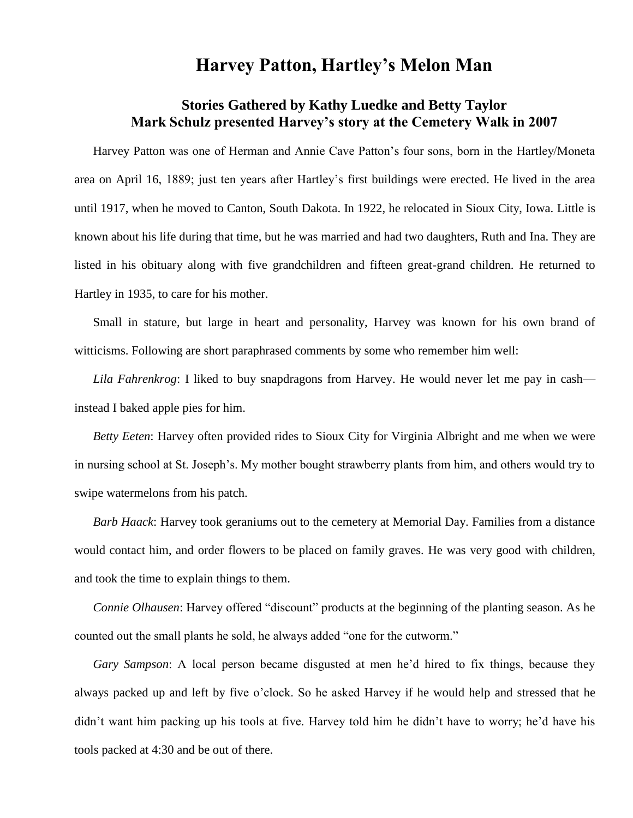## **Harvey Patton, Hartley's Melon Man**

## **Stories Gathered by Kathy Luedke and Betty Taylor Mark Schulz presented Harvey's story at the Cemetery Walk in 2007**

Harvey Patton was one of Herman and Annie Cave Patton's four sons, born in the Hartley/Moneta area on April 16, 1889; just ten years after Hartley's first buildings were erected. He lived in the area until 1917, when he moved to Canton, South Dakota. In 1922, he relocated in Sioux City, Iowa. Little is known about his life during that time, but he was married and had two daughters, Ruth and Ina. They are listed in his obituary along with five grandchildren and fifteen great-grand children. He returned to Hartley in 1935, to care for his mother.

Small in stature, but large in heart and personality, Harvey was known for his own brand of witticisms. Following are short paraphrased comments by some who remember him well:

*Lila Fahrenkrog*: I liked to buy snapdragons from Harvey. He would never let me pay in cash instead I baked apple pies for him.

*Betty Eeten*: Harvey often provided rides to Sioux City for Virginia Albright and me when we were in nursing school at St. Joseph's. My mother bought strawberry plants from him, and others would try to swipe watermelons from his patch.

*Barb Haack*: Harvey took geraniums out to the cemetery at Memorial Day. Families from a distance would contact him, and order flowers to be placed on family graves. He was very good with children, and took the time to explain things to them.

*Connie Olhausen*: Harvey offered "discount" products at the beginning of the planting season. As he counted out the small plants he sold, he always added "one for the cutworm."

*Gary Sampson*: A local person became disgusted at men he'd hired to fix things, because they always packed up and left by five o'clock. So he asked Harvey if he would help and stressed that he didn't want him packing up his tools at five. Harvey told him he didn't have to worry; he'd have his tools packed at 4:30 and be out of there.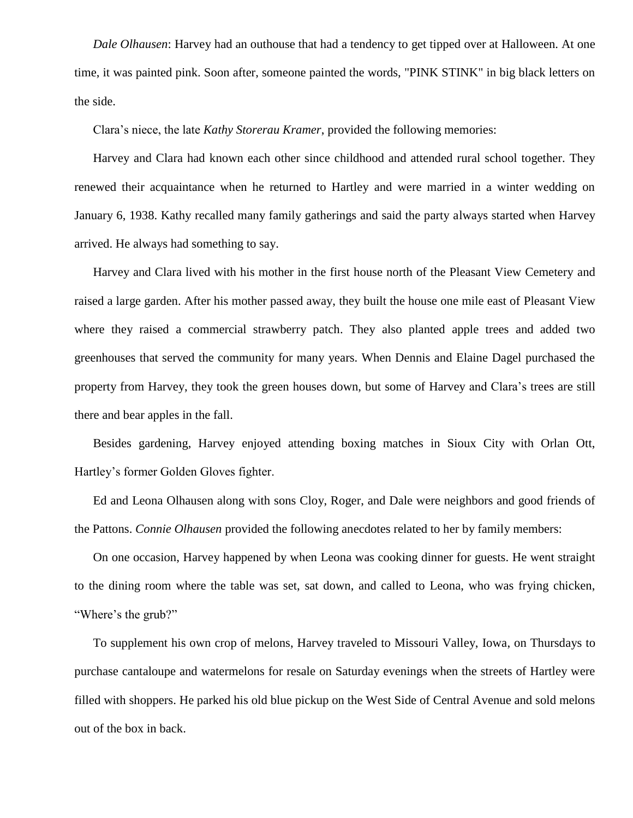*Dale Olhausen*: Harvey had an outhouse that had a tendency to get tipped over at Halloween. At one time, it was painted pink. Soon after, someone painted the words, "PINK STINK" in big black letters on the side.

Clara's niece, the late *Kathy Storerau Kramer*, provided the following memories:

Harvey and Clara had known each other since childhood and attended rural school together. They renewed their acquaintance when he returned to Hartley and were married in a winter wedding on January 6, 1938. Kathy recalled many family gatherings and said the party always started when Harvey arrived. He always had something to say.

Harvey and Clara lived with his mother in the first house north of the Pleasant View Cemetery and raised a large garden. After his mother passed away, they built the house one mile east of Pleasant View where they raised a commercial strawberry patch. They also planted apple trees and added two greenhouses that served the community for many years. When Dennis and Elaine Dagel purchased the property from Harvey, they took the green houses down, but some of Harvey and Clara's trees are still there and bear apples in the fall.

Besides gardening, Harvey enjoyed attending boxing matches in Sioux City with Orlan Ott, Hartley's former Golden Gloves fighter.

Ed and Leona Olhausen along with sons Cloy, Roger, and Dale were neighbors and good friends of the Pattons. *Connie Olhausen* provided the following anecdotes related to her by family members:

On one occasion, Harvey happened by when Leona was cooking dinner for guests. He went straight to the dining room where the table was set, sat down, and called to Leona, who was frying chicken, "Where's the grub?"

To supplement his own crop of melons, Harvey traveled to Missouri Valley, Iowa, on Thursdays to purchase cantaloupe and watermelons for resale on Saturday evenings when the streets of Hartley were filled with shoppers. He parked his old blue pickup on the West Side of Central Avenue and sold melons out of the box in back.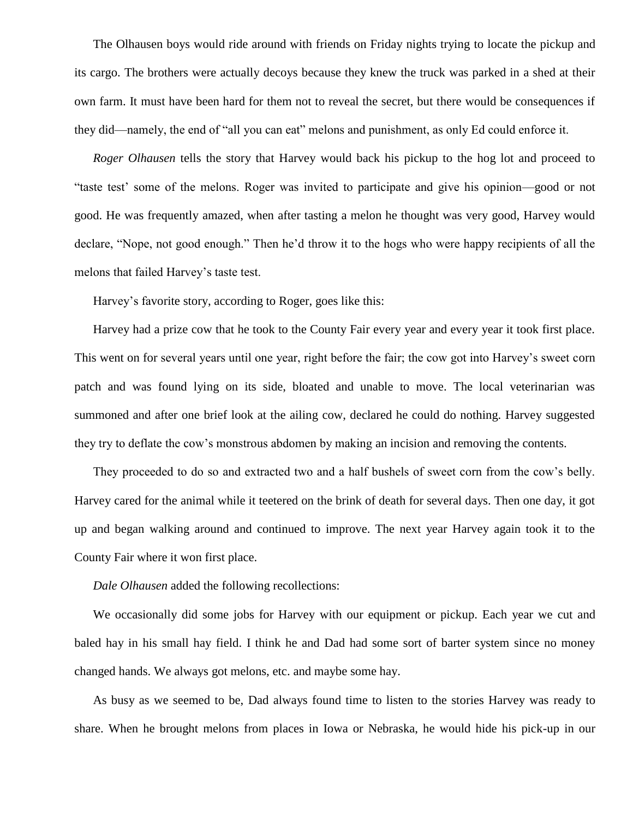The Olhausen boys would ride around with friends on Friday nights trying to locate the pickup and its cargo. The brothers were actually decoys because they knew the truck was parked in a shed at their own farm. It must have been hard for them not to reveal the secret, but there would be consequences if they did—namely, the end of "all you can eat" melons and punishment, as only Ed could enforce it.

*Roger Olhausen* tells the story that Harvey would back his pickup to the hog lot and proceed to "taste test' some of the melons. Roger was invited to participate and give his opinion—good or not good. He was frequently amazed, when after tasting a melon he thought was very good, Harvey would declare, "Nope, not good enough." Then he'd throw it to the hogs who were happy recipients of all the melons that failed Harvey's taste test.

Harvey's favorite story, according to Roger, goes like this:

Harvey had a prize cow that he took to the County Fair every year and every year it took first place. This went on for several years until one year, right before the fair; the cow got into Harvey's sweet corn patch and was found lying on its side, bloated and unable to move. The local veterinarian was summoned and after one brief look at the ailing cow, declared he could do nothing. Harvey suggested they try to deflate the cow's monstrous abdomen by making an incision and removing the contents.

They proceeded to do so and extracted two and a half bushels of sweet corn from the cow's belly. Harvey cared for the animal while it teetered on the brink of death for several days. Then one day, it got up and began walking around and continued to improve. The next year Harvey again took it to the County Fair where it won first place.

*Dale Olhausen* added the following recollections:

We occasionally did some jobs for Harvey with our equipment or pickup. Each year we cut and baled hay in his small hay field. I think he and Dad had some sort of barter system since no money changed hands. We always got melons, etc. and maybe some hay.

As busy as we seemed to be, Dad always found time to listen to the stories Harvey was ready to share. When he brought melons from places in Iowa or Nebraska, he would hide his pick-up in our